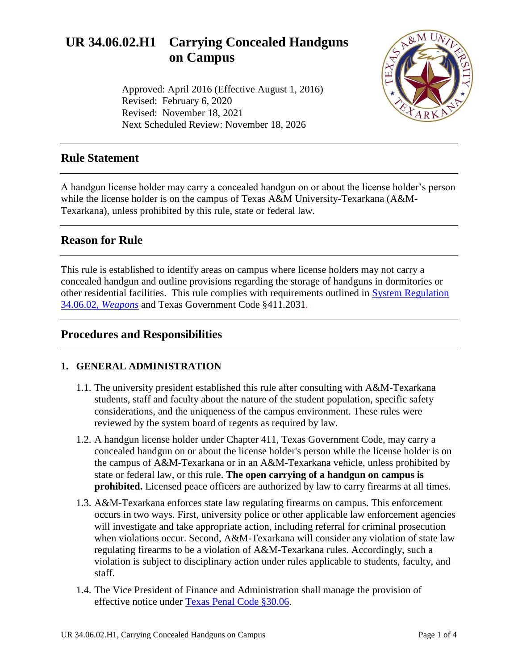# **UR 34.06.02.H1 Carrying Concealed Handguns on Campus**

Approved: April 2016 (Effective August 1, 2016) Revised: February 6, 2020 Revised: November 18, 2021 Next Scheduled Review: November 18, 2026



## **Rule Statement**

A handgun license holder may carry a concealed handgun on or about the license holder's person while the license holder is on the campus of Texas A&M University-Texarkana (A&M-Texarkana), unless prohibited by this rule, state or federal law.

## **Reason for Rule**

This rule is established to identify areas on campus where license holders may not carry a concealed handgun and outline provisions regarding the storage of handguns in dormitories or other residential facilities. This rule complies with requirements outlined in [System Regulation](http://policies.tamus.edu/34-06-02.pdf)  [34.06.02,](http://policies.tamus.edu/34-06-02.pdf) *Weapons* and Texas Government Code §411.2031.

## **Procedures and Responsibilities**

#### **1. GENERAL ADMINISTRATION**

- 1.1. The university president established this rule after consulting with A&M-Texarkana students, staff and faculty about the nature of the student population, specific safety considerations, and the uniqueness of the campus environment. These rules were reviewed by the system board of regents as required by law.
- 1.2. A handgun license holder under Chapter 411, Texas Government Code, may carry a concealed handgun on or about the license holder's person while the license holder is on the campus of A&M-Texarkana or in an A&M-Texarkana vehicle, unless prohibited by state or federal law, or this rule. **The open carrying of a handgun on campus is prohibited.** Licensed peace officers are authorized by law to carry firearms at all times.
- 1.3. A&M-Texarkana enforces state law regulating firearms on campus. This enforcement occurs in two ways. First, university police or other applicable law enforcement agencies will investigate and take appropriate action, including referral for criminal prosecution when violations occur. Second, A&M-Texarkana will consider any violation of state law regulating firearms to be a violation of A&M-Texarkana rules. Accordingly, such a violation is subject to disciplinary action under rules applicable to students, faculty, and staff.
- 1.4. The Vice President of Finance and Administration shall manage the provision of effective notice under [Texas Penal Code §30.06.](http://www.statutes.legis.state.tx.us/Docs/PE/htm/PE.30.htm#30.06)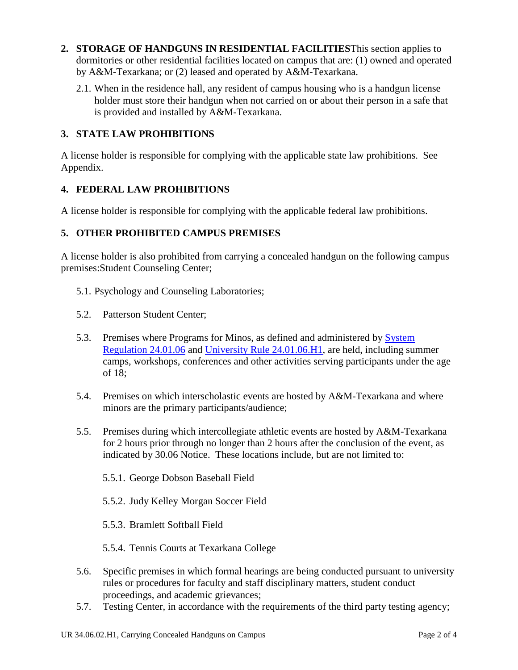- **2. STORAGE OF HANDGUNS IN RESIDENTIAL FACILITIES**This section applies to dormitories or other residential facilities located on campus that are: (1) owned and operated by A&M-Texarkana; or (2) leased and operated by A&M-Texarkana.
	- 2.1. When in the residence hall, any resident of campus housing who is a handgun license holder must store their handgun when not carried on or about their person in a safe that is provided and installed by A&M-Texarkana.

### **3. STATE LAW PROHIBITIONS**

A license holder is responsible for complying with the applicable state law prohibitions. See Appendix.

#### **4. FEDERAL LAW PROHIBITIONS**

A license holder is responsible for complying with the applicable federal law prohibitions.

#### **5. OTHER PROHIBITED CAMPUS PREMISES**

A license holder is also prohibited from carrying a concealed handgun on the following campus premises:Student Counseling Center;

- 5.1. Psychology and Counseling Laboratories;
- 5.2. Patterson Student Center;
- 5.3. Premises where Programs for Minos, as defined and administered by [System](http://policies.tamus.edu/24-01-06.pdf)  [Regulation 24.01.06](http://policies.tamus.edu/24-01-06.pdf) and [University Rule 24.01.06.H1,](http://www.tamut.edu/About/Administration/About/Rules/24-01-06-H1.pdf) are held, including summer camps, workshops, conferences and other activities serving participants under the age of 18;
- 5.4. Premises on which interscholastic events are hosted by A&M-Texarkana and where minors are the primary participants/audience;
- 5.5. Premises during which intercollegiate athletic events are hosted by A&M-Texarkana for 2 hours prior through no longer than 2 hours after the conclusion of the event, as indicated by 30.06 Notice. These locations include, but are not limited to:
	- 5.5.1. George Dobson Baseball Field
	- 5.5.2. Judy Kelley Morgan Soccer Field
	- 5.5.3. Bramlett Softball Field
	- 5.5.4. Tennis Courts at Texarkana College
- 5.6. Specific premises in which formal hearings are being conducted pursuant to university rules or procedures for faculty and staff disciplinary matters, student conduct proceedings, and academic grievances;
- 5.7. Testing Center, in accordance with the requirements of the third party testing agency;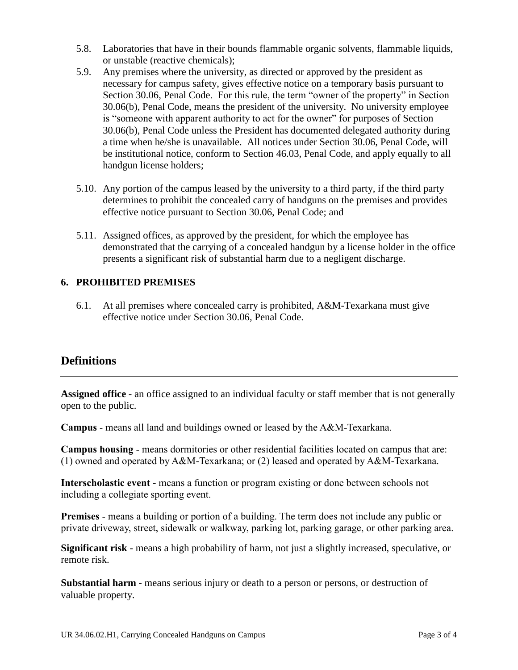- 5.8. Laboratories that have in their bounds flammable organic solvents, flammable liquids, or unstable (reactive chemicals);
- 5.9. Any premises where the university, as directed or approved by the president as necessary for campus safety, gives effective notice on a temporary basis pursuant to Section 30.06, Penal Code. For this rule, the term "owner of the property" in Section 30.06(b), Penal Code, means the president of the university. No university employee is "someone with apparent authority to act for the owner" for purposes of Section 30.06(b), Penal Code unless the President has documented delegated authority during a time when he/she is unavailable. All notices under Section 30.06, Penal Code, will be institutional notice, conform to Section 46.03, Penal Code, and apply equally to all handgun license holders;
- 5.10. Any portion of the campus leased by the university to a third party, if the third party determines to prohibit the concealed carry of handguns on the premises and provides effective notice pursuant to Section 30.06, Penal Code; and
- 5.11. Assigned offices, as approved by the president, for which the employee has demonstrated that the carrying of a concealed handgun by a license holder in the office presents a significant risk of substantial harm due to a negligent discharge.

#### **6. PROHIBITED PREMISES**

6.1. At all premises where concealed carry is prohibited, A&M-Texarkana must give effective notice under Section 30.06, Penal Code.

## **Definitions**

**Assigned office -** an office assigned to an individual faculty or staff member that is not generally open to the public.

**Campus** - means all land and buildings owned or leased by the A&M-Texarkana.

**Campus housing** - means dormitories or other residential facilities located on campus that are: (1) owned and operated by A&M-Texarkana; or (2) leased and operated by A&M-Texarkana.

**Interscholastic event** - means a function or program existing or done between schools not including a collegiate sporting event.

**Premises** - means a building or portion of a building. The term does not include any public or private driveway, street, sidewalk or walkway, parking lot, parking garage, or other parking area.

**Significant risk** - means a high probability of harm, not just a slightly increased, speculative, or remote risk.

**Substantial harm** - means serious injury or death to a person or persons, or destruction of valuable property.